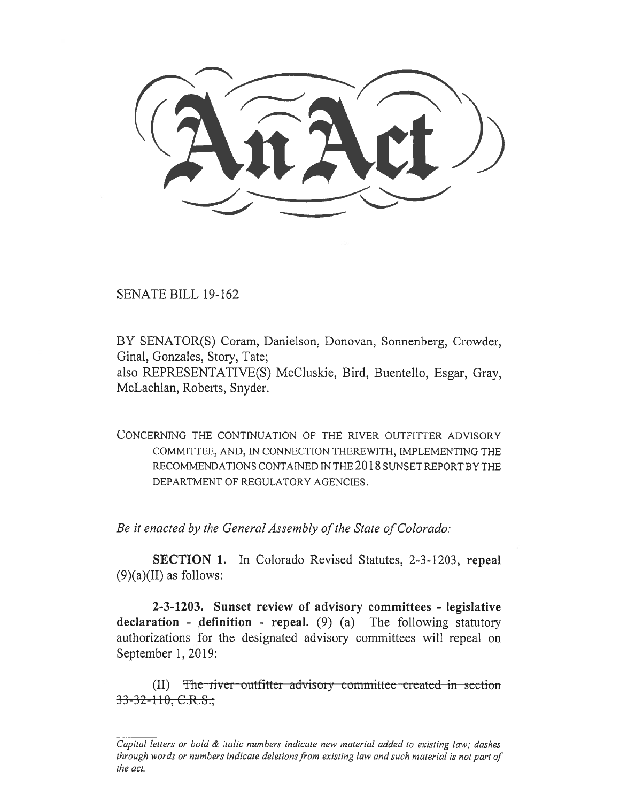SENATE BILL 19-162

BY SENATOR(S) Coram, Danielson, Donovan, Sonnenberg, Crowder, Ginal, Gonzales, Story, Tate;

also REPRESENTATIVE(S) McCluskie, Bird, Buentello, Esgar, Gray, McLachlan, Roberts, Snyder.

CONCERNING THE CONTINUATION OF THE RIVER OUTFITTER ADVISORY COMMITTEE, AND, IN CONNECTION THEREWITH, IMPLEMENTING THE RECOMMENDATIONS CONTAINED IN THE 2018 SUNSET REPORT BY THE DEPARTMENT OF REGULATORY AGENCIES.

*Be it enacted by the General Assembly of the State of Colorado:* 

**SECTION 1.** In Colorado Revised Statutes, 2-3-1203, **repeal**   $(9)(a)(II)$  as follows:

**2-3-1203. Sunset review of advisory committees - legislative declaration - definition - repeal.** (9) (a) The following statutory authorizations for the designated advisory committees will repeal on September 1, 2019:

 $(II)$  The river-outfitter advisory committee created in section  $33 - 32 - 110$ , C.R.S.;

*Capital letters or bold & italic numbers indicate new material added to existing law; dashes through words or numbers indicate deletions from existing law and such material is not part of the act.*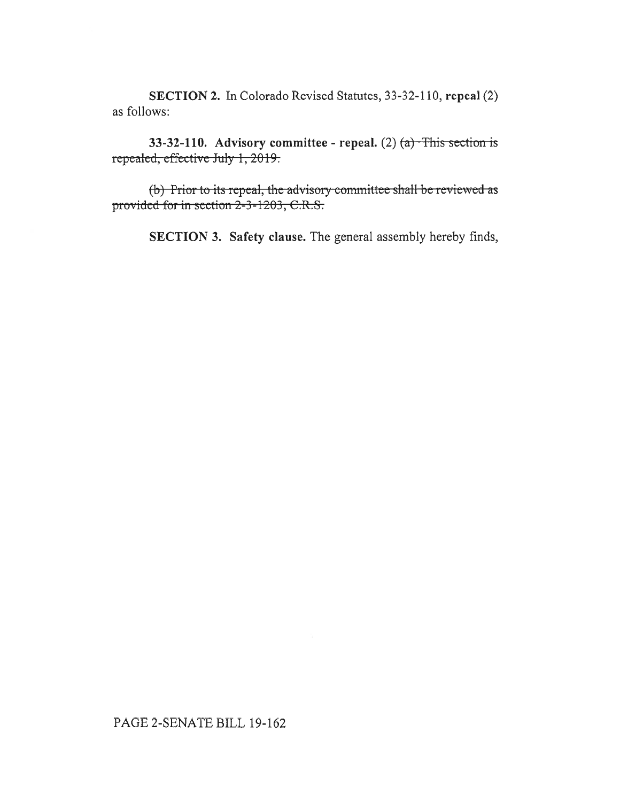**SECTION 2.** In Colorado Revised Statutes, 33-32-110, **repeal** (2) as follows:

**33-32-110.** Advisory committee - repeal. (2) <del>(a) This sec</del> repealed, effective July 1, 2019.

 $(b)$  Prior to its repeal, the advisory committee shall be reviewed as provided for in section 2-3-1203, C.R.S.

**SECTION 3. Safety clause.** The general assembly hereby finds,

## PAGE 2-SENATE BILL 19-162